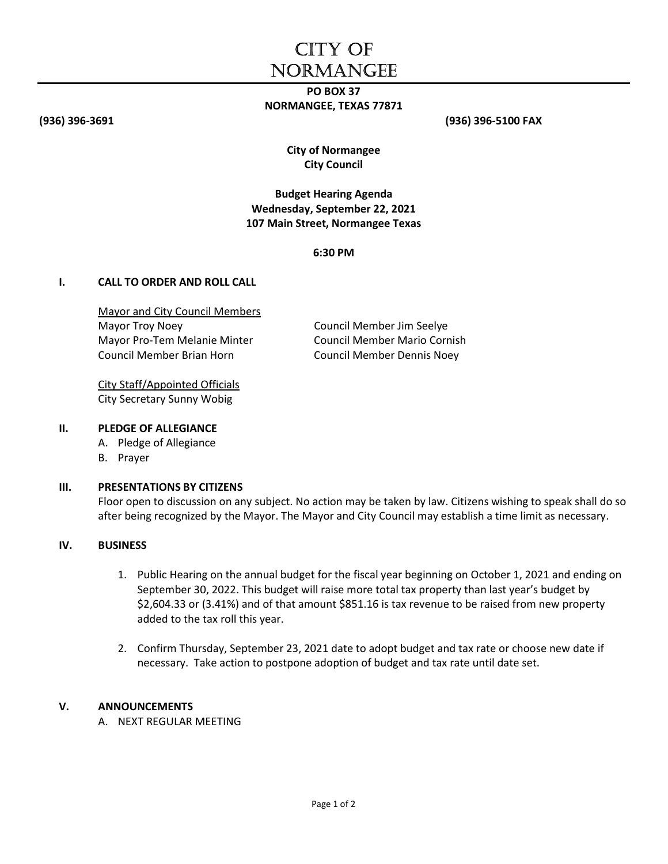# CITY OF **NORMANGEE**

# PO BOX 37 NORMANGEE, TEXAS 77871

(936) 396-3691 (936) 396-5100 FAX

City of Normangee City Council

# Budget Hearing Agenda Wednesday, September 22, 2021 107 Main Street, Normangee Texas

6:30 PM

#### I. CALL TO ORDER AND ROLL CALL

Mayor and City Council Members Mayor Troy Noey **COUNCIL Member Jim Seelye** Mayor Pro-Tem Melanie Minter Council Member Mario Cornish Council Member Brian Horn Council Member Dennis Noey

City Staff/Appointed Officials City Secretary Sunny Wobig

#### II. PLEDGE OF ALLEGIANCE

- A. Pledge of Allegiance
- B. Prayer

#### III. PRESENTATIONS BY CITIZENS

Floor open to discussion on any subject. No action may be taken by law. Citizens wishing to speak shall do so after being recognized by the Mayor. The Mayor and City Council may establish a time limit as necessary.

## IV. BUSINESS

- 1. Public Hearing on the annual budget for the fiscal year beginning on October 1, 2021 and ending on September 30, 2022. This budget will raise more total tax property than last year's budget by \$2,604.33 or (3.41%) and of that amount \$851.16 is tax revenue to be raised from new property added to the tax roll this year.
- 2. Confirm Thursday, September 23, 2021 date to adopt budget and tax rate or choose new date if necessary. Take action to postpone adoption of budget and tax rate until date set.

#### V. ANNOUNCEMENTS

A. NEXT REGULAR MEETING